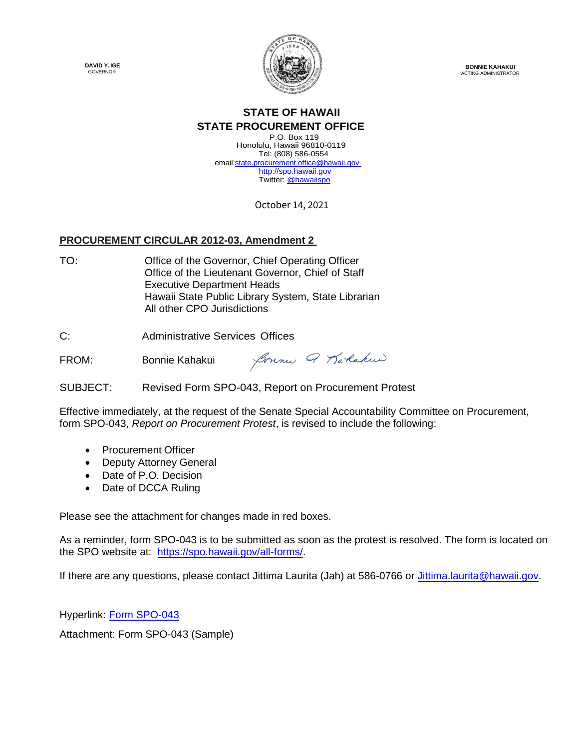**DAVID Y. IGE**  GOVERNOR



**BONNIE KAHAKUI**  ACTING ADMINISTRATOR

## **STATE OF HAWAII STATE PROCUREMENT OFFICE**

P.O. Box 119 Honolulu, Hawaii 96810-0119 Tel: (808) 586-0554 email:state.procurement.office@hawaii.gov http://spo.hawaii.gov Twitter: @hawaiispo

October 14, 2021

## **PROCUREMENT CIRCULAR 2012-03, Amendment 2**

TO: Office of the Governor, Chief Operating Officer Office of the Lieutenant Governor, Chief of Staff Executive Department Heads Hawaii State Public Library System, State Librarian All other CPO Jurisdictions

C: Administrative Services Offices

Sonne Q Karlakeer FROM: Bonnie Kahakui

SUBJECT: Revised Form SPO-043, Report on Procurement Protest

Effective immediately, at the request of the Senate Special Accountability Committee on Procurement, form SPO-043, *Report on Procurement Protest*, is revised to include the following:

- Procurement Officer
- Deputy Attorney General
- Date of P.O. Decision
- Date of DCCA Ruling

Please see the attachment for changes made in red boxes.

As a reminder, form SPO-043 is to be submitted as soon as the protest is resolved. The form is located on the SPO website at: https://spo.hawaii.gov/all-forms/.

If there are any questions, please contact Jittima Laurita (Jah) at 586-0766 or Jittima.laurita@hawaii.gov.

Hyperlink: [Form SPO-043](https://spo.hawaii.gov/wp-content/uploads/2021/10/PC2012-03-Attachment-Revised-Form-SPO-043-Report-on-Procurement-Protest.pdf)

Attachment: Form SPO-043 (Sample)